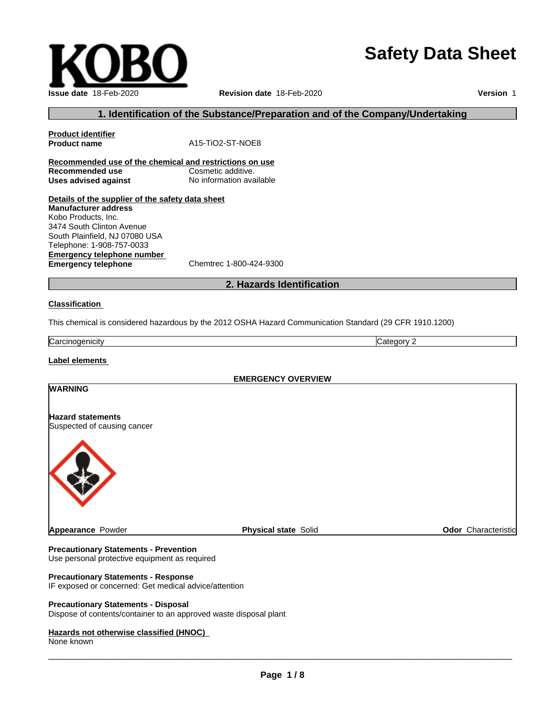# **Safety Data Sheet**

 $\overline{\phantom{a}}$  ,  $\overline{\phantom{a}}$  ,  $\overline{\phantom{a}}$  ,  $\overline{\phantom{a}}$  ,  $\overline{\phantom{a}}$  ,  $\overline{\phantom{a}}$  ,  $\overline{\phantom{a}}$  ,  $\overline{\phantom{a}}$  ,  $\overline{\phantom{a}}$  ,  $\overline{\phantom{a}}$  ,  $\overline{\phantom{a}}$  ,  $\overline{\phantom{a}}$  ,  $\overline{\phantom{a}}$  ,  $\overline{\phantom{a}}$  ,  $\overline{\phantom{a}}$  ,  $\overline{\phantom{a}}$ 

## **1. Identification of the Substance/Preparation and of the Company/Undertaking**

**Product identifier Product name** A15-TiO2-ST-NOE8 **Recommended use of the chemical and restrictions on use Recommended use** Cosmetic additive. **Uses advised against** No information available

**Details of the supplier of the safety data sheet Emergency telephone number**<br> **Emergency telephone**<br>
Chemtrec 1-800-424-9300 **Emergency telephone Manufacturer address** Kobo Products, Inc. 3474 South Clinton Avenue South Plainfield, NJ 07080 USA Telephone: 1-908-757-0033

#### **2. Hazards Identification**

#### **Classification**

This chemical is considered hazardous by the 2012 OSHA Hazard Communication Standard (29 CFR 1910.1200)

**Carcinogenicity** Category 2

**WARNING**

**Label elements**

**EMERGENCY OVERVIEW**

# Suspected of causing cancer

**Hazard statements**

**Appearance Powder Physical state** Solid **Physical state** Solid **Physical state** Solid **Physical Solid** 

**Precautionary Statements - Prevention** Use personal protective equipment as required

#### **Precautionary Statements - Response**

IF exposed or concerned: Get medical advice/attention

#### **Precautionary Statements - Disposal**

Dispose of contents/container to an approved waste disposal plant

#### **Hazards not otherwise classified (HNOC)**

None known



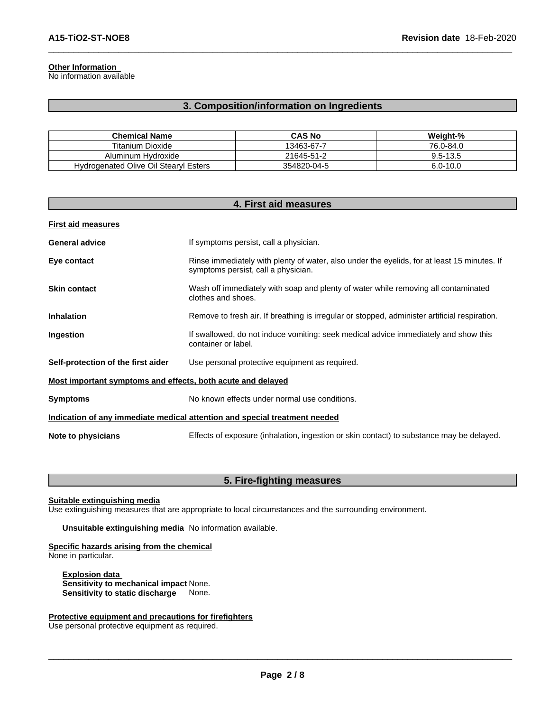#### **Other Information**

No information available

#### **3. Composition/information on Ingredients**

 $\overline{\phantom{a}}$  ,  $\overline{\phantom{a}}$  ,  $\overline{\phantom{a}}$  ,  $\overline{\phantom{a}}$  ,  $\overline{\phantom{a}}$  ,  $\overline{\phantom{a}}$  ,  $\overline{\phantom{a}}$  ,  $\overline{\phantom{a}}$  ,  $\overline{\phantom{a}}$  ,  $\overline{\phantom{a}}$  ,  $\overline{\phantom{a}}$  ,  $\overline{\phantom{a}}$  ,  $\overline{\phantom{a}}$  ,  $\overline{\phantom{a}}$  ,  $\overline{\phantom{a}}$  ,  $\overline{\phantom{a}}$ 

| <b>Chemical Name</b>                         | <b>CAS No</b> | Weight-%     |
|----------------------------------------------|---------------|--------------|
| <b>Titanium Dioxide</b>                      | 13463-67-7    | 76.0-84.0    |
| Hvdroxide<br>Aluminum                        | 21645-51-2    | 9.5-13.5     |
| <b>Hydrogenated Olive Oil Stearyl Esters</b> | 354820-04-5   | $6.0 - 10.0$ |

| 4. First aid measures                                       |                                                                                                                                    |  |
|-------------------------------------------------------------|------------------------------------------------------------------------------------------------------------------------------------|--|
| <b>First aid measures</b>                                   |                                                                                                                                    |  |
| <b>General advice</b>                                       | If symptoms persist, call a physician.                                                                                             |  |
| Eye contact                                                 | Rinse immediately with plenty of water, also under the eyelids, for at least 15 minutes. If<br>symptoms persist, call a physician. |  |
| <b>Skin contact</b>                                         | Wash off immediately with soap and plenty of water while removing all contaminated<br>clothes and shoes.                           |  |
| <b>Inhalation</b>                                           | Remove to fresh air. If breathing is irregular or stopped, administer artificial respiration.                                      |  |
| Ingestion                                                   | If swallowed, do not induce vomiting: seek medical advice immediately and show this<br>container or label.                         |  |
| Self-protection of the first aider                          | Use personal protective equipment as required.                                                                                     |  |
| Most important symptoms and effects, both acute and delayed |                                                                                                                                    |  |
| <b>Symptoms</b>                                             | No known effects under normal use conditions.                                                                                      |  |
|                                                             | Indication of any immediate medical attention and special treatment needed                                                         |  |
| Note to physicians                                          | Effects of exposure (inhalation, ingestion or skin contact) to substance may be delayed.                                           |  |

### **5. Fire-fighting measures**

**Suitable extinguishing media**

Use extinguishing measures that are appropriate to local circumstances and the surrounding environment.

**Unsuitable extinguishing media** No information available.

**Specific hazards arising from the chemical** None in particular.

**Explosion data Sensitivity to mechanical impact** None. **Sensitivity to static discharge** 

**Protective equipment and precautions for firefighters**

Use personal protective equipment as required.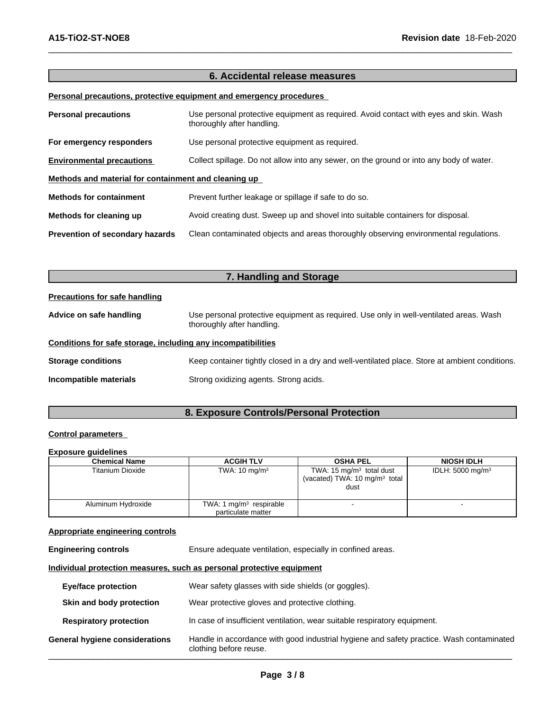#### **6. Accidental release measures**

 $\overline{\phantom{a}}$  ,  $\overline{\phantom{a}}$  ,  $\overline{\phantom{a}}$  ,  $\overline{\phantom{a}}$  ,  $\overline{\phantom{a}}$  ,  $\overline{\phantom{a}}$  ,  $\overline{\phantom{a}}$  ,  $\overline{\phantom{a}}$  ,  $\overline{\phantom{a}}$  ,  $\overline{\phantom{a}}$  ,  $\overline{\phantom{a}}$  ,  $\overline{\phantom{a}}$  ,  $\overline{\phantom{a}}$  ,  $\overline{\phantom{a}}$  ,  $\overline{\phantom{a}}$  ,  $\overline{\phantom{a}}$ 

#### **Personal precautions, protective equipment and emergency procedures**

| <b>Personal precautions</b>                          | Use personal protective equipment as required. Avoid contact with eyes and skin. Wash<br>thoroughly after handling. |  |
|------------------------------------------------------|---------------------------------------------------------------------------------------------------------------------|--|
| For emergency responders                             | Use personal protective equipment as required.                                                                      |  |
| <b>Environmental precautions</b>                     | Collect spillage. Do not allow into any sewer, on the ground or into any body of water.                             |  |
| Methods and material for containment and cleaning up |                                                                                                                     |  |
| <b>Methods for containment</b>                       | Prevent further leakage or spillage if safe to do so.                                                               |  |
| Methods for cleaning up                              | Avoid creating dust. Sweep up and shovel into suitable containers for disposal.                                     |  |
| Prevention of secondary hazards                      | Clean contaminated objects and areas thoroughly observing environmental regulations.                                |  |

| 7. Handling and Storage                                      |                                                                                                                      |  |
|--------------------------------------------------------------|----------------------------------------------------------------------------------------------------------------------|--|
| <b>Precautions for safe handling</b>                         |                                                                                                                      |  |
| Advice on safe handling                                      | Use personal protective equipment as required. Use only in well-ventilated areas. Wash<br>thoroughly after handling. |  |
| Conditions for safe storage, including any incompatibilities |                                                                                                                      |  |
| <b>Storage conditions</b>                                    | Keep container tightly closed in a dry and well-ventilated place. Store at ambient conditions.                       |  |
| Incompatible materials                                       | Strong oxidizing agents. Strong acids.                                                                               |  |

### **8. Exposure Controls/Personal Protection**

#### **Control parameters**

#### **Exposure guidelines**

| <b>Chemical Name</b> | <b>ACGIH TLV</b>          | <b>OSHA PEL</b>                                                                          | <b>NIOSH IDLH</b>            |
|----------------------|---------------------------|------------------------------------------------------------------------------------------|------------------------------|
| Titanium Dioxide     | TWA: $10 \text{ mg/m}^3$  | TWA: $15 \text{ mg/m}^3$ total dust<br>(vacated) TWA: 10 mg/m <sup>3</sup> total<br>dust | IDLH: 5000 mg/m <sup>3</sup> |
| Aluminum Hydroxide   | TWA: 1 $mg/m3$ respirable |                                                                                          |                              |
|                      | particulate matter        |                                                                                          |                              |

#### **Appropriate engineering controls**

**Engineering controls** Ensure adequate ventilation, especially in confined areas.

#### **Individual protection measures, such as personal protective equipment**

| <b>Eye/face protection</b>     | Wear safety glasses with side shields (or goggles).                                                                |
|--------------------------------|--------------------------------------------------------------------------------------------------------------------|
| Skin and body protection       | Wear protective gloves and protective clothing.                                                                    |
| <b>Respiratory protection</b>  | In case of insufficient ventilation, wear suitable respiratory equipment.                                          |
| General hygiene considerations | Handle in accordance with good industrial hygiene and safety practice. Wash contaminated<br>clothing before reuse. |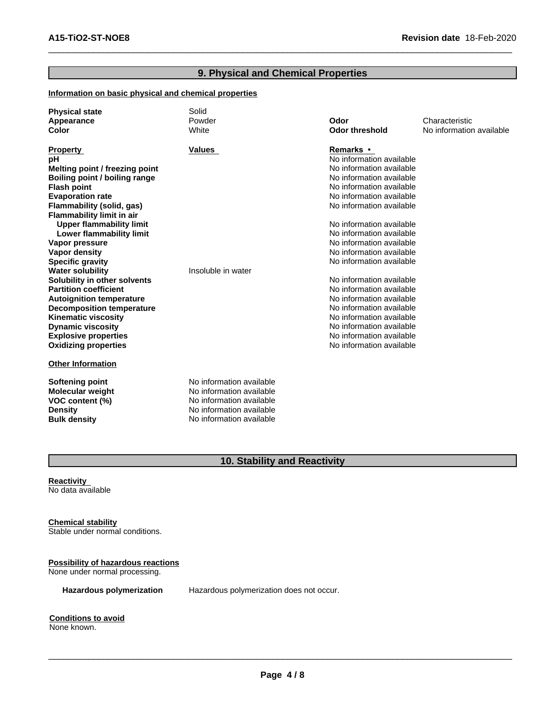### **9. Physical and Chemical Properties**

 $\overline{\phantom{a}}$  ,  $\overline{\phantom{a}}$  ,  $\overline{\phantom{a}}$  ,  $\overline{\phantom{a}}$  ,  $\overline{\phantom{a}}$  ,  $\overline{\phantom{a}}$  ,  $\overline{\phantom{a}}$  ,  $\overline{\phantom{a}}$  ,  $\overline{\phantom{a}}$  ,  $\overline{\phantom{a}}$  ,  $\overline{\phantom{a}}$  ,  $\overline{\phantom{a}}$  ,  $\overline{\phantom{a}}$  ,  $\overline{\phantom{a}}$  ,  $\overline{\phantom{a}}$  ,  $\overline{\phantom{a}}$ 

#### **Information on basic physical and chemical properties**

| <b>Physical state</b>            | Solid                    |                          |                          |
|----------------------------------|--------------------------|--------------------------|--------------------------|
| Appearance                       | Powder                   | Odor                     | Characteristic           |
| Color                            | White                    | <b>Odor threshold</b>    | No information available |
|                                  |                          |                          |                          |
| <b>Property</b>                  | <b>Values</b>            | Remarks •                |                          |
| рH                               |                          | No information available |                          |
| Melting point / freezing point   |                          | No information available |                          |
| Boiling point / boiling range    |                          | No information available |                          |
| <b>Flash point</b>               |                          | No information available |                          |
| <b>Evaporation rate</b>          |                          | No information available |                          |
| Flammability (solid, gas)        |                          | No information available |                          |
| <b>Flammability limit in air</b> |                          |                          |                          |
| <b>Upper flammability limit</b>  |                          | No information available |                          |
| Lower flammability limit         |                          | No information available |                          |
| Vapor pressure                   |                          | No information available |                          |
| Vapor density                    |                          | No information available |                          |
| <b>Specific gravity</b>          |                          | No information available |                          |
| <b>Water solubility</b>          | Insoluble in water       |                          |                          |
| Solubility in other solvents     |                          | No information available |                          |
| <b>Partition coefficient</b>     |                          | No information available |                          |
| <b>Autoignition temperature</b>  |                          | No information available |                          |
| <b>Decomposition temperature</b> |                          | No information available |                          |
| <b>Kinematic viscosity</b>       |                          | No information available |                          |
| <b>Dynamic viscosity</b>         |                          | No information available |                          |
| <b>Explosive properties</b>      |                          | No information available |                          |
| <b>Oxidizing properties</b>      |                          | No information available |                          |
| <b>Other Information</b>         |                          |                          |                          |
|                                  |                          |                          |                          |
| <b>Softening point</b>           | No information available |                          |                          |
| <b>Molecular weight</b>          | No information available |                          |                          |
| VOC content (%)                  | No information available |                          |                          |
| <b>Density</b>                   | No information available |                          |                          |
| <b>Bulk density</b>              | No information available |                          |                          |

**No information available** 

### **10. Stability and Reactivity**

**Reactivity** No data available

**Chemical stability** Stable under normal conditions.

**Possibility of hazardous reactions** None under normal processing.

**Hazardous polymerization** Hazardous polymerization does not occur.

**Conditions to avoid** None known.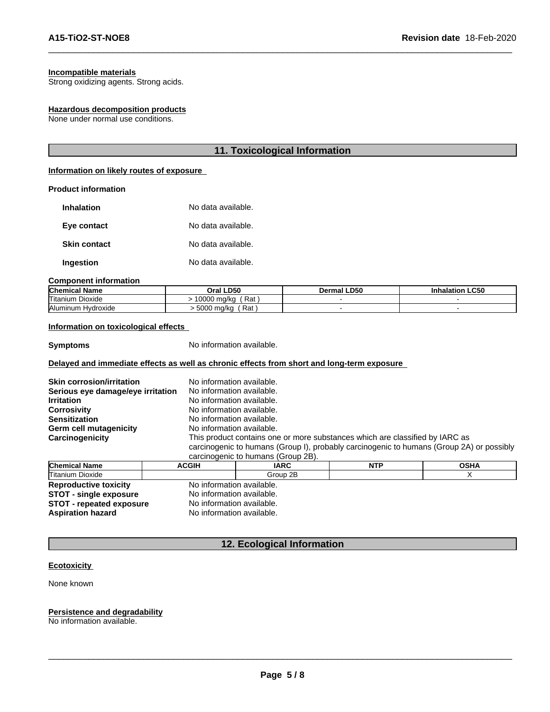#### **Incompatible materials**

Strong oxidizing agents. Strong acids.

#### **Hazardous decomposition products**

None under normal use conditions.

#### **11. Toxicological Information**

 $\overline{\phantom{a}}$  ,  $\overline{\phantom{a}}$  ,  $\overline{\phantom{a}}$  ,  $\overline{\phantom{a}}$  ,  $\overline{\phantom{a}}$  ,  $\overline{\phantom{a}}$  ,  $\overline{\phantom{a}}$  ,  $\overline{\phantom{a}}$  ,  $\overline{\phantom{a}}$  ,  $\overline{\phantom{a}}$  ,  $\overline{\phantom{a}}$  ,  $\overline{\phantom{a}}$  ,  $\overline{\phantom{a}}$  ,  $\overline{\phantom{a}}$  ,  $\overline{\phantom{a}}$  ,  $\overline{\phantom{a}}$ 

#### **Information on likely routes of exposure**

#### **Product information**

| <b>Inhalation</b>   | No data available. |
|---------------------|--------------------|
| Eye contact         | No data available. |
| <b>Skin contact</b> | No data available. |
| Ingestion           | No data available. |

#### **Component information**

| <b>Chemical Name</b>                 | <b>LD50</b><br>Oral | <b>LD50</b><br>⊃ermal ' | <b>Inhalation LC50</b> |
|--------------------------------------|---------------------|-------------------------|------------------------|
| <b>Titanium</b><br>$\sim$<br>Dioxide | Rat<br>0000         |                         |                        |
| lAluminum H<br>Hvdroxide             | 5000 ma/ka<br>Rat   |                         |                        |

#### **Information on toxicological effects**

**Symptoms** No information available.

#### **Delayed and immediate effects as well as chronic effects from short and long-term exposure**

| <b>Skin corrosion/irritation</b>                                                                         | No information available. |                                                                                          |            |             |  |
|----------------------------------------------------------------------------------------------------------|---------------------------|------------------------------------------------------------------------------------------|------------|-------------|--|
| Serious eye damage/eye irritation                                                                        | No information available. |                                                                                          |            |             |  |
| <b>Irritation</b>                                                                                        | No information available. |                                                                                          |            |             |  |
| <b>Corrosivity</b>                                                                                       | No information available. |                                                                                          |            |             |  |
| <b>Sensitization</b><br>No information available.<br>Germ cell mutagenicity<br>No information available. |                           |                                                                                          |            |             |  |
|                                                                                                          |                           |                                                                                          |            |             |  |
| Carcinogenicity                                                                                          |                           | This product contains one or more substances which are classified by IARC as             |            |             |  |
|                                                                                                          |                           | carcinogenic to humans (Group I), probably carcinogenic to humans (Group 2A) or possibly |            |             |  |
|                                                                                                          |                           | carcinogenic to humans (Group 2B).                                                       |            |             |  |
| <b>Chemical Name</b>                                                                                     | <b>ACGIH</b>              | <b>IARC</b>                                                                              | <b>NTP</b> | <b>OSHA</b> |  |
| Titanium Dioxide                                                                                         |                           | Group 2B                                                                                 |            |             |  |
| <b>Reproductive toxicity</b>                                                                             | No information available. |                                                                                          |            |             |  |
| $\mathbf{ATAT}$ , the set of $\mathbf{STAT}$                                                             | Natalangantan atau kale   |                                                                                          |            |             |  |

**STOT** - **single exposure** No information available.<br>**STOT** - **repeated exposure** No information available. **STOT** - repeated exposure **Aspiration hazard** No information available.

#### **12. Ecological Information**

#### **Ecotoxicity**

None known

#### **Persistence and degradability**

No information available.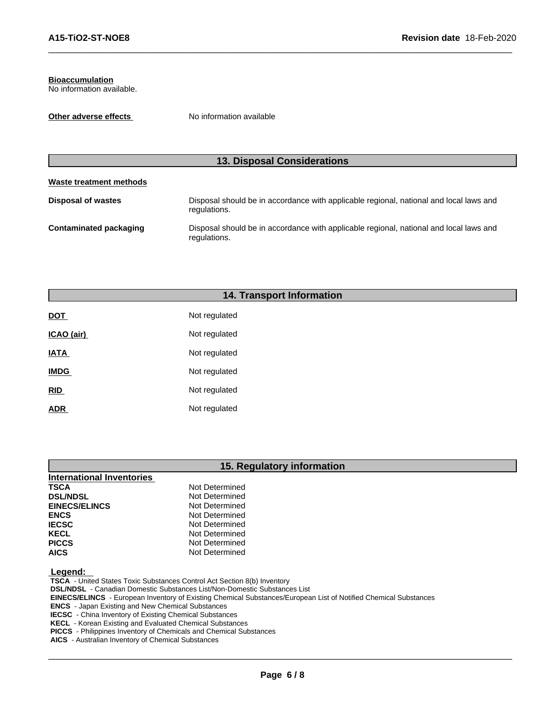#### **Bioaccumulation**

No information available.

**Other adverse effects** No information available

### **13. Disposal Considerations**

 $\overline{\phantom{a}}$  ,  $\overline{\phantom{a}}$  ,  $\overline{\phantom{a}}$  ,  $\overline{\phantom{a}}$  ,  $\overline{\phantom{a}}$  ,  $\overline{\phantom{a}}$  ,  $\overline{\phantom{a}}$  ,  $\overline{\phantom{a}}$  ,  $\overline{\phantom{a}}$  ,  $\overline{\phantom{a}}$  ,  $\overline{\phantom{a}}$  ,  $\overline{\phantom{a}}$  ,  $\overline{\phantom{a}}$  ,  $\overline{\phantom{a}}$  ,  $\overline{\phantom{a}}$  ,  $\overline{\phantom{a}}$ 

### **Waste treatment methods**

**Disposal of wastes** Disposal should be in accordance with applicable regional, national and local laws and regulations. **Contaminated packaging** Disposal should be in accordance with applicable regional, national and local laws and regulations.

### **14. Transport Information**

| <b>DOT</b>  | Not regulated |
|-------------|---------------|
| ICAO (air)  | Not regulated |
| <b>IATA</b> | Not regulated |
| <b>IMDG</b> | Not regulated |
| <u>RID</u>  | Not regulated |
| <b>ADR</b>  | Not regulated |

#### **15. Regulatory information**

| <b>International Inventories</b> |                |
|----------------------------------|----------------|
| TSCA                             | Not Determined |
| <b>DSL/NDSL</b>                  | Not Determined |
| <b>EINECS/ELINCS</b>             | Not Determined |
| <b>ENCS</b>                      | Not Determined |
| <b>IECSC</b>                     | Not Determined |
| <b>KECL</b>                      | Not Determined |
| <b>PICCS</b>                     | Not Determined |
| <b>AICS</b>                      | Not Determined |

#### **Legend:**

 **TSCA** - United States Toxic Substances Control Act Section 8(b) Inventory

 **DSL/NDSL** - Canadian Domestic Substances List/Non-Domestic Substances List

 **EINECS/ELINCS** - European Inventory of Existing Chemical Substances/European List of Notified Chemical Substances

 **ENCS** - Japan Existing and New Chemical Substances

**IECSC** - China Inventory of Existing Chemical Substances

 **KECL** - Korean Existing and Evaluated Chemical Substances

 **PICCS** - Philippines Inventory of Chemicals and Chemical Substances

 **AICS** - Australian Inventory of Chemical Substances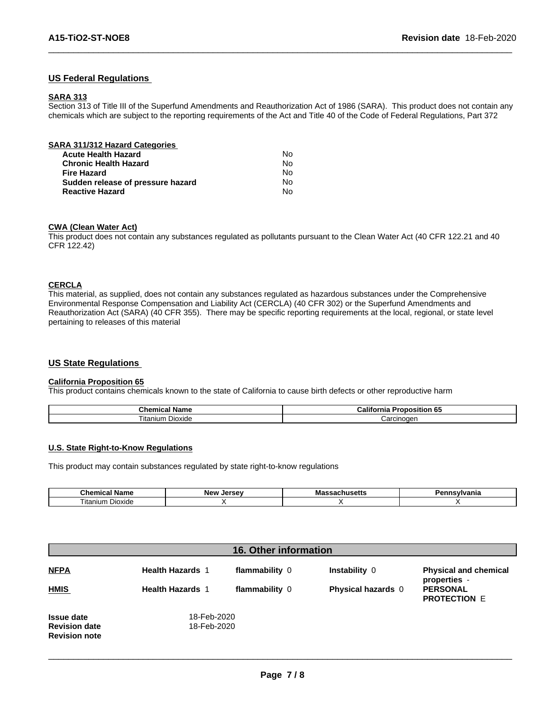#### **US Federal Regulations**

#### **SARA 313**

Section 313 of Title III of the Superfund Amendments and Reauthorization Act of 1986 (SARA). This product does not contain any chemicals which are subject to the reporting requirements of the Act and Title 40 of the Code of Federal Regulations, Part 372

 $\overline{\phantom{a}}$  ,  $\overline{\phantom{a}}$  ,  $\overline{\phantom{a}}$  ,  $\overline{\phantom{a}}$  ,  $\overline{\phantom{a}}$  ,  $\overline{\phantom{a}}$  ,  $\overline{\phantom{a}}$  ,  $\overline{\phantom{a}}$  ,  $\overline{\phantom{a}}$  ,  $\overline{\phantom{a}}$  ,  $\overline{\phantom{a}}$  ,  $\overline{\phantom{a}}$  ,  $\overline{\phantom{a}}$  ,  $\overline{\phantom{a}}$  ,  $\overline{\phantom{a}}$  ,  $\overline{\phantom{a}}$ 

| SARA 311/312 Hazard Categories    |    |  |
|-----------------------------------|----|--|
| <b>Acute Health Hazard</b>        | No |  |
| <b>Chronic Health Hazard</b>      | No |  |
| <b>Fire Hazard</b>                | No |  |
| Sudden release of pressure hazard | No |  |
| <b>Reactive Hazard</b>            | No |  |

#### **CWA** (Clean Water Act)

This product does not contain any substances regulated as pollutants pursuant to the Clean Water Act (40 CFR 122.21 and 40 CFR 122.42)

#### **CERCLA**

This material, as supplied, does not contain any substances regulated as hazardous substances under the Comprehensive Environmental Response Compensation and Liability Act (CERCLA) (40 CFR 302) or the Superfund Amendments and Reauthorization Act (SARA) (40 CFR 355). There may be specific reporting requirements at the local, regional, or state level pertaining to releases of this material

#### **US State Regulations**

#### **California Proposition 65**

This product contains chemicals known to the state of California to cause birth defects or other reproductive harm

| Chemical<br>чать               | $\cdots$<br>∶alitoi<br>.<br>osition<br>- O.C<br>ma |
|--------------------------------|----------------------------------------------------|
| -<br>$-$<br>Dioxide<br>itanium | "                                                  |

#### **U.S. State Right-to-Know Regulations**

This product may contain substances regulated by state right-to-know regulations

| Chem<br>Name<br>$\overline{\phantom{a}}$ | <b>New</b><br><b>Jersev</b> | .<br>. | anid |
|------------------------------------------|-----------------------------|--------|------|
| . Dioxide<br>l itanıum                   |                             |        |      |

| <b>16. Other information</b>                                      |                            |                |                    |                                              |
|-------------------------------------------------------------------|----------------------------|----------------|--------------------|----------------------------------------------|
| <b>NFPA</b>                                                       | <b>Health Hazards 1</b>    | flammability 0 | Instability 0      | <b>Physical and chemical</b><br>properties - |
| <b>HMIS</b>                                                       | <b>Health Hazards 1</b>    | flammability 0 | Physical hazards 0 | <b>PERSONAL</b><br><b>PROTECTION E</b>       |
| <b>Issue date</b><br><b>Revision date</b><br><b>Revision note</b> | 18-Feb-2020<br>18-Feb-2020 |                |                    |                                              |